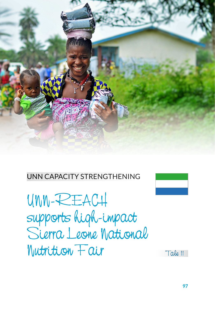

## UNN CAPACITY STRENGTHENING

UNN-REACH supports high-impact Sierra Leone National Nutrition Fair



**97**

Tale 11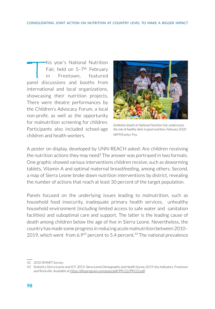This year's National Nutrition<br>
Fair, held on 5-7<sup>th</sup> February<br>
in Freetown, featured<br>
panel discussions and booths from Fair, held on 5–7th February in Freetown, featured international and local organizations, showcasing their nutrition projects. There were theatre performances by the Children's Advocacy Forum, a local non-profit, as well as the opportunity for malnutrition screening for children. Participants also included school-age children and health workers.



*Exhibition booth at National Nutrition Fair underscores the role of healthy diets in good nutrition, February 2020* WFP/Evelyn Fey

A poster on display, developed by UNN-REACH asked: Are children receiving the nutrition actions they may need? The answer was portrayed in two formats. One graphic showed various interventions children receive, such as deworming tablets, Vitamin A and optimal maternal breastfeeding, among others. Second, a map of Sierra Leone broke down nutrition interventions by district, revealing the number of actions that reach at least 30 percent of the target population.

Panels focused on the underlying issues leading to malnutrition, such as household food insecurity, inadequate primary health services, unhealthy household environment (including limited access to safe water and sanitation facilities) and suboptimal care and support. The latter is the leading cause of death among children below the age of five in Sierra Leone. Nevertheless, the country has made some progress in reducing acute malnutrition between 2010– 2019, which went from 6.9<sup>42</sup> percent to 5.4 percent.<sup>43</sup> The national prevalence

<sup>42</sup> 2010 SMART Survey.

<sup>43</sup> Statistics Sierra Leone and ICF. 2019. *Sierra Leone Demographic and Health Survey 2019: Key Indicators.* Freetown and Rockville. Available at https://dhsprogram.com/pubs/pdf/PR122/PR122.pdf.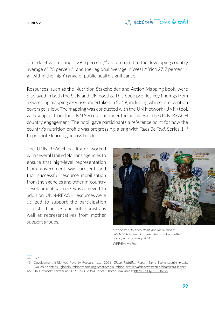of under-five stunting is 29.5 percent, $44$  as compared to the developing country average of 25 percent<sup>45</sup> and the regional average in West Africa 27.7 percent − all within the 'high' range of public health significance.

Resources, such as the Nutrition Stakeholder and Action Mapping book, were displayed in both the SUN and UN booths. This book profiles key findings from a sweeping mapping exercise undertaken in 2019, including where intervention coverage is low. The mapping was conducted with the UN Network (UNN) tool, with support from the UNN Secretariat under the auspices of the UNN-REACH country engagement. The book gave participants a reference point for how the country's nutrition profile was progressing, along with *Tales Be Told*, Series 1,46 to promote learning across borders.

The UNN-REACH Facilitator worked with several United Nations agencies to ensure that high-level representation from government was present and that successful resource mobilization from the agencies and other in-country development partners was achieved. In addition, UNN-REACH resources were utilized to support the participation of district nurses and nutritionists as well as representatives from mother support groups.



*Mr. Sheriff, SUN Focal Point, and Mrs Nenebah Jalloh, SUN National Coordinator, stand with other participants, February 2020* WFP/Evelyn Fey

44 *Ibid*.

- 45 Development Initiatives Poverty Research Ltd. 2019. *Global Nutrition Report; Sierra Leone country profile.*  Available at [https://globalnutritionreport.org/resources/nutrition-profiles/africa/western-africa/sierra-leone/.](https://globalnutritionreport.org/resources/nutrition-profiles/africa/western-africa/sierra-leone/)
- 46 UN Network Secretariat. 2019. *Tales Be Told. Series 1*. Rome. Available at https://bit.ly/36BUNGn.